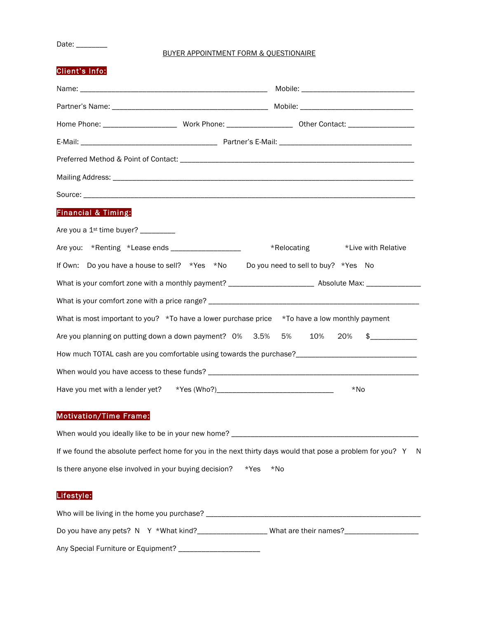Date: \_\_\_\_\_\_\_\_\_

Client's Info:

### BUYER APPOINTMENT FORM & QUESTIONAIRE

|                                                | Preferred Method & Point of Contact: Letters and the state of the state of the state of the state of the state of the state of the state of the state of the state of the state of the state of the state of the state of the  |             |                      |  |  |  |
|------------------------------------------------|--------------------------------------------------------------------------------------------------------------------------------------------------------------------------------------------------------------------------------|-------------|----------------------|--|--|--|
|                                                |                                                                                                                                                                                                                                |             |                      |  |  |  |
|                                                | Source: Lawrence and the contract of the contract of the contract of the contract of the contract of the contract of the contract of the contract of the contract of the contract of the contract of the contract of the contr |             |                      |  |  |  |
| <b>Financial &amp; Timing:</b>                 |                                                                                                                                                                                                                                |             |                      |  |  |  |
| Are you a 1 <sup>st</sup> time buyer? ________ |                                                                                                                                                                                                                                |             |                      |  |  |  |
|                                                | Are you: *Renting *Lease ends ___________________                                                                                                                                                                              | *Relocating | *Live with Relative  |  |  |  |
|                                                | If Own: Do you have a house to sell? *Yes *No Do you need to sell to buy? *Yes No                                                                                                                                              |             |                      |  |  |  |
|                                                | What is your comfort zone with a monthly payment? ______________________________ Absolute Max: _______________                                                                                                                 |             |                      |  |  |  |
|                                                |                                                                                                                                                                                                                                |             |                      |  |  |  |
|                                                | What is most important to you? *To have a lower purchase price *To have a low monthly payment                                                                                                                                  |             |                      |  |  |  |
|                                                | Are you planning on putting down a down payment? 0% 3.5%                                                                                                                                                                       | 5%<br>10%   | 20%<br>$\frac{1}{2}$ |  |  |  |
|                                                | How much TOTAL cash are you comfortable using towards the purchase?________________________________                                                                                                                            |             |                      |  |  |  |
|                                                |                                                                                                                                                                                                                                |             |                      |  |  |  |
|                                                |                                                                                                                                                                                                                                |             | $*$ No               |  |  |  |

If we found the absolute perfect home for you in the next thirty days would that pose a problem for you? Y N Is there anyone else involved in your buying decision? \*Yes \*No

# Lifestyle:

| Who will be living in the home you purchase? |                       |  |  |  |
|----------------------------------------------|-----------------------|--|--|--|
| Do you have any pets? $N Y * What$ kind?     | What are their names? |  |  |  |
| Any Special Furniture or Equipment?          |                       |  |  |  |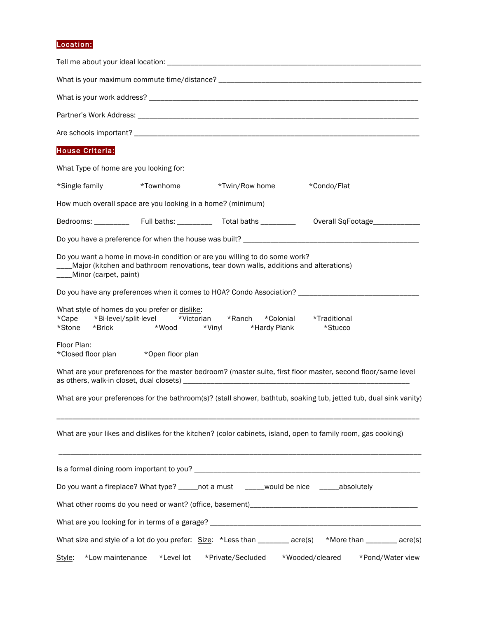# Location:

| <b>House Criteria:</b>                                                                           |                             |                                                                                                                                                                     |                                                                                                                   |
|--------------------------------------------------------------------------------------------------|-----------------------------|---------------------------------------------------------------------------------------------------------------------------------------------------------------------|-------------------------------------------------------------------------------------------------------------------|
| What Type of home are you looking for:                                                           |                             |                                                                                                                                                                     |                                                                                                                   |
| *Single family                                                                                   | *Townhome                   | *Twin/Row home                                                                                                                                                      | *Condo/Flat                                                                                                       |
| How much overall space are you looking in a home? (minimum)                                      |                             |                                                                                                                                                                     |                                                                                                                   |
|                                                                                                  |                             |                                                                                                                                                                     |                                                                                                                   |
|                                                                                                  |                             |                                                                                                                                                                     |                                                                                                                   |
| Minor (carpet, paint)                                                                            |                             | Do you want a home in move-in condition or are you willing to do some work?<br>Major (kitchen and bathroom renovations, tear down walls, additions and alterations) |                                                                                                                   |
|                                                                                                  |                             |                                                                                                                                                                     | Do you have any preferences when it comes to HOA? Condo Association? ______________________________               |
| What style of homes do you prefer or dislike:<br>*Cape *Bi-level/split-level<br>*Stone<br>*Brick | *Victorian<br>*Wood         | *Ranch<br>*Colonial<br>*Vinyl<br>*Hardy Plank                                                                                                                       | *Traditional<br>*Stucco                                                                                           |
| Floor Plan:<br>*Closed floor plan                                                                | *Open floor plan            |                                                                                                                                                                     |                                                                                                                   |
|                                                                                                  |                             |                                                                                                                                                                     | What are your preferences for the master bedroom? (master suite, first floor master, second floor/same level      |
|                                                                                                  |                             |                                                                                                                                                                     | What are your preferences for the bathroom(s)? (stall shower, bathtub, soaking tub, jetted tub, dual sink vanity) |
|                                                                                                  |                             |                                                                                                                                                                     | What are your likes and dislikes for the kitchen? (color cabinets, island, open to family room, gas cooking)      |
|                                                                                                  |                             |                                                                                                                                                                     |                                                                                                                   |
|                                                                                                  |                             | Do you want a fireplace? What type? _____not a must _____would be nice _____absolutely                                                                              |                                                                                                                   |
|                                                                                                  |                             |                                                                                                                                                                     |                                                                                                                   |
|                                                                                                  |                             |                                                                                                                                                                     |                                                                                                                   |
|                                                                                                  |                             | What size and style of a lot do you prefer: Size: *Less than _______ acre(s)                                                                                        | *More than _________ acre(s)                                                                                      |
| Style:                                                                                           | *Low maintenance *Level lot | *Private/Secluded                                                                                                                                                   | *Wooded/cleared<br>*Pond/Water view                                                                               |